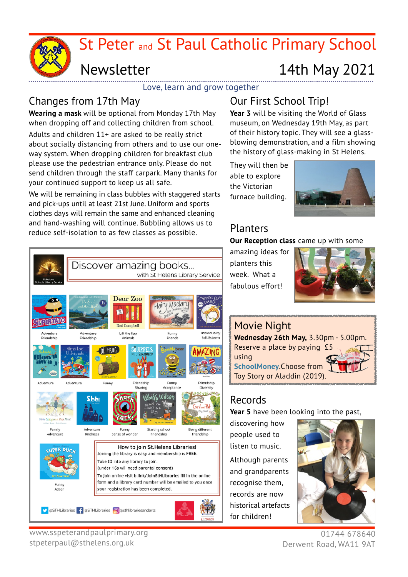St Peter and St Paul Catholic Primary School

# Newsletter 14th May 2021

Love, learn and grow together

### Changes from 17th May

**Wearing a mask** will be optional from Monday 17th May when dropping off and collecting children from school.

Adults and children 11+ are asked to be really strict about socially distancing from others and to use our oneway system. When dropping children for breakfast club please use the pedestrian entrance only. Please do not send children through the staff carpark. Many thanks for your continued support to keep us all safe.

We will be remaining in class bubbles with staggered starts and pick-ups until at least 21st June. Uniform and sports clothes days will remain the same and enhanced cleaning and hand-washing will continue. Bubbling allows us to reduce self-isolation to as few classes as possible.

## Our First School Trip!

**Year 3** will be visiting the World of Glass museum, on Wednesday 19th May, as part of their history topic. They will see a glassblowing demonstration, and a film showing the history of glass-making in St Helens.

They will then be able to explore the Victorian furnace building.



#### Planters

**Our Reception class** came up with some

amazing ideas for planters this week. What a fabulous effort!





### Records

**Year 5** have been looking into the past,

discovering how people used to listen to music. Although parents and grandparents recognise them, records are now historical artefacts for children!



01744 678640 Derwent Road, WA11 9AT



www.sspeterandpaulprimary.org stpeterpaul@sthelens.org.uk